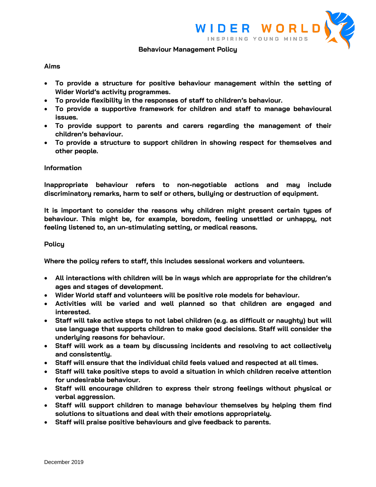

### **Behaviour Management Policy**

## **Aims**

- **To provide a structure for positive behaviour management within the setting of Wider World's activity programmes.**
- **To provide flexibility in the responses of staff to children's behaviour.**
- **To provide a supportive framework for children and staff to manage behavioural issues.**
- **To provide support to parents and carers regarding the management of their children's behaviour.**
- **To provide a structure to support children in showing respect for themselves and other people.**

### **Information**

**Inappropriate behaviour refers to non-negotiable actions and may include discriminatory remarks, harm to self or others, bullying or destruction of equipment.** 

**It is important to consider the reasons why children might present certain types of behaviour. This might be, for example, boredom, feeling unsettled or unhappy, not feeling listened to, an un-stimulating setting, or medical reasons.**

### **Policy**

**Where the policy refers to staff, this includes sessional workers and volunteers.** 

- **All interactions with children will be in ways which are appropriate for the children's ages and stages of development.**
- **Wider World staff and volunteers will be positive role models for behaviour.**
- **Activities will be varied and well planned so that children are engaged and interested.**
- **Staff will take active steps to not label children (e.g. as difficult or naughty) but will use language that supports children to make good decisions. Staff will consider the underlying reasons for behaviour.**
- **Staff will work as a team by discussing incidents and resolving to act collectively and consistently.**
- **Staff will ensure that the individual child feels valued and respected at all times.**
- **Staff will take positive steps to avoid a situation in which children receive attention for undesirable behaviour.**
- **Staff will encourage children to express their strong feelings without physical or verbal aggression.**
- **Staff will support children to manage behaviour themselves by helping them find solutions to situations and deal with their emotions appropriately.**
- **Staff will praise positive behaviours and give feedback to parents.**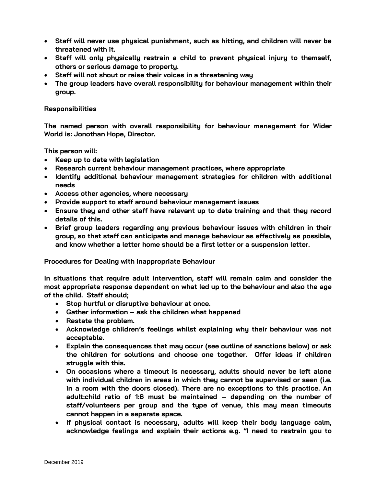- **Staff will never use physical punishment, such as hitting, and children will never be threatened with it.**
- **Staff will only physically restrain a child to prevent physical injury to themself, others or serious damage to property.**
- **Staff will not shout or raise their voices in a threatening way**
- **The group leaders have overall responsibility for behaviour management within their group.**

## **Responsibilities**

**The named person with overall responsibility for behaviour management for Wider World is: Jonothan Hope, Director.**

**This person will:**

- **Keep up to date with legislation**
- **Research current behaviour management practices, where appropriate**
- **Identify additional behaviour management strategies for children with additional needs**
- **Access other agencies, where necessary**
- **Provide support to staff around behaviour management issues**
- **Ensure they and other staff have relevant up to date training and that they record details of this.**
- **Brief group leaders regarding any previous behaviour issues with children in their group, so that staff can anticipate and manage behaviour as effectively as possible, and know whether a letter home should be a first letter or a suspension letter.**

**Procedures for Dealing with Inappropriate Behaviour**

**In situations that require adult intervention, staff will remain calm and consider the most appropriate response dependent on what led up to the behaviour and also the age of the child. Staff should;**

- **Stop hurtful or disruptive behaviour at once.**
- **Gather information – ask the children what happened**
- **Restate the problem.**
- **Acknowledge children's feelings whilst explaining why their behaviour was not acceptable.**
- **Explain the consequences that may occur (see outline of sanctions below) or ask the children for solutions and choose one together. Offer ideas if children struggle with this.**
- **On occasions where a timeout is necessary, adults should never be left alone with individual children in areas in which they cannot be supervised or seen (i.e. in a room with the doors closed). There are no exceptions to this practice. An adult:child ratio of 1:6 must be maintained – depending on the number of staff/volunteers per group and the type of venue, this may mean timeouts cannot happen in a separate space.**
- **If physical contact is necessary, adults will keep their body language calm, acknowledge feelings and explain their actions e.g. "I need to restrain you to**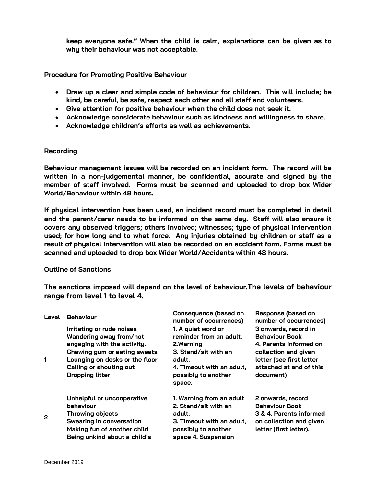**keep everyone safe." When the child is calm, explanations can be given as to why their behaviour was not acceptable.**

**Procedure for Promoting Positive Behaviour**

- **Draw up a clear and simple code of behaviour for children. This will include; be kind, be careful, be safe, respect each other and all staff and volunteers.**
- **Give attention for positive behaviour when the child does not seek it.**
- **Acknowledge considerate behaviour such as kindness and willingness to share.**
- **Acknowledge children's efforts as well as achievements.**

## **Recording**

**Behaviour management issues will be recorded on an incident form. The record will be written in a non-judgemental manner, be confidential, accurate and signed by the member of staff involved. Forms must be scanned and uploaded to drop box Wider World/Behaviour within 48 hours.** 

**If physical intervention has been used, an incident record must be completed in detail and the parent/carer needs to be informed on the same day. Staff will also ensure it covers any observed triggers; others involved; witnesses; type of physical intervention used; for how long and to what force. Any injuries obtained by children or staff as a result of physical intervention will also be recorded on an accident form. Forms must be scanned and uploaded to drop box Wider World/Accidents within 48 hours.** 

## **Outline of Sanctions**

**The sanctions imposed will depend on the level of behaviour.The levels of behaviour range from level 1 to level 4.**

| Level | <b>Behaviour</b>                                                                                                                                                                                           | Consequence (based on<br>number of occurrences)                                                                                                             | Response (based on<br>number of occurrences)                                                                                                                        |
|-------|------------------------------------------------------------------------------------------------------------------------------------------------------------------------------------------------------------|-------------------------------------------------------------------------------------------------------------------------------------------------------------|---------------------------------------------------------------------------------------------------------------------------------------------------------------------|
|       | Irritating or rude noises<br>Wandering away from/not<br>engaging with the activity.<br>Chewing gum or eating sweets<br>Lounging on desks or the floor<br>Calling or shouting out<br><b>Dropping litter</b> | 1. A quiet word or<br>reminder from an adult.<br>2. Warning<br>3. Stand/sit with an<br>adult.<br>4. Timeout with an adult,<br>possibly to another<br>space. | 3 onwards, record in<br><b>Behaviour Book</b><br>4. Parents informed on<br>collection and given<br>letter (see first letter<br>attached at end of this<br>document) |
| 2     | Unhelpful or uncooperative<br>behaviour<br><b>Throwing objects</b><br><b>Swearing in conversation</b><br>Making fun of another child<br>Being unkind about a child's                                       | 1. Warning from an adult<br>2. Stand/sit with an<br>adult.<br>3. Timeout with an adult,<br>possibly to another<br>space 4. Suspension                       | 2 onwards, record<br><b>Behaviour Book</b><br>3 & 4. Parents informed<br>on collection and given<br>letter (first letter).                                          |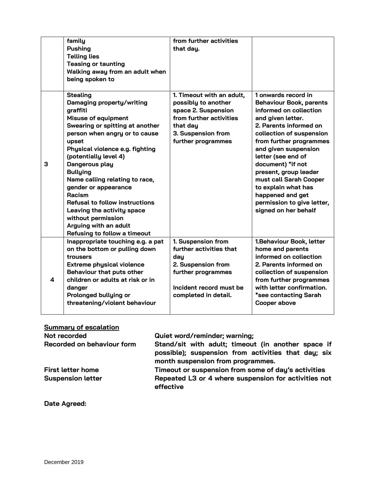|   | family<br><b>Pushing</b><br><b>Telling lies</b><br><b>Teasing or taunting</b><br>Walking away from an adult when<br>being spoken to                                                                                                                                                                                                                                                                                                                                                            | from further activities<br>that day.                                                                                                                       |                                                                                                                                                                                                                                                                                                                                                                                                              |
|---|------------------------------------------------------------------------------------------------------------------------------------------------------------------------------------------------------------------------------------------------------------------------------------------------------------------------------------------------------------------------------------------------------------------------------------------------------------------------------------------------|------------------------------------------------------------------------------------------------------------------------------------------------------------|--------------------------------------------------------------------------------------------------------------------------------------------------------------------------------------------------------------------------------------------------------------------------------------------------------------------------------------------------------------------------------------------------------------|
| 3 | <b>Stealing</b><br>Damaging property/writing<br>graffiti<br><b>Misuse of equipment</b><br>Swearing or spitting at another<br>person when angry or to cause<br>upset<br>Physical violence e.g. fighting<br>(potentially level 4)<br>Dangerous play<br><b>Bullying</b><br>Name calling relating to race,<br>gender or appearance<br>Racism<br><b>Refusal to follow instructions</b><br>Leaving the activity space<br>without permission<br>Arguing with an adult<br>Refusing to follow a timeout | 1. Timeout with an adult,<br>possibly to another<br>space 2. Suspension<br>from further activities<br>that day<br>3. Suspension from<br>further programmes | 1 onwards record in<br><b>Behaviour Book, parents</b><br>informed on collection<br>and given letter.<br>2. Parents informed on<br>collection of suspension<br>from further programmes<br>and given suspension<br>letter (see end of<br>document) *if not<br>present, group leader<br>must call Sarah Cooper<br>to explain what has<br>happened and get<br>permission to give letter,<br>signed on her behalf |
| 4 | Inappropriate touching e.g. a pat<br>on the bottom or pulling down<br>trousers<br><b>Extreme physical violence</b><br>Behaviour that puts other<br>children or adults at risk or in<br>danger<br>Prolonged bullying or<br>threatening/violent behaviour                                                                                                                                                                                                                                        | 1. Suspension from<br>further activities that<br>day<br>2. Suspension from<br>further programmes<br>Incident record must be<br>completed in detail.        | 1. Behaviour Book, letter<br>home and parents<br>informed on collection<br>2. Parents informed on<br>collection of suspension<br>from further programmes<br>with letter confirmation.<br>*see contacting Sarah<br>Cooper above                                                                                                                                                                               |

## **Summary of escalation**

| Not recorded               | Quiet word/reminder; warning;                                                                                                                  |  |
|----------------------------|------------------------------------------------------------------------------------------------------------------------------------------------|--|
| Recorded on behaviour form | Stand/sit with adult; timeout (in another space if<br>possible); suspension from activities that day; six<br>month suspension from programmes. |  |
| <b>First letter home</b>   | Timeout or suspension from some of day's activities                                                                                            |  |
| <b>Suspension letter</b>   | Repeated L3 or 4 where suspension for activities not<br>effective                                                                              |  |

# **Date Agreed:**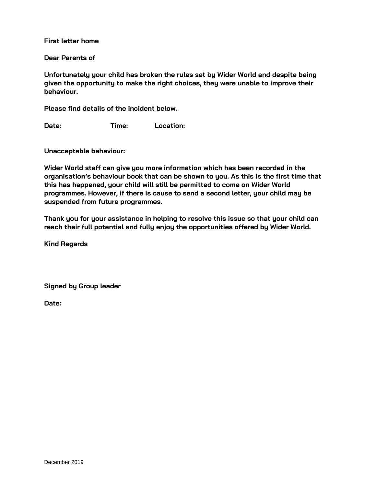## **First letter home**

### **Dear Parents of**

**Unfortunately your child has broken the rules set by Wider World and despite being given the opportunity to make the right choices, they were unable to improve their behaviour.**

**Please find details of the incident below.**

**Date: Time: Location:**

**Unacceptable behaviour:**

**Wider World staff can give you more information which has been recorded in the organisation's behaviour book that can be shown to you. As this is the first time that this has happened, your child will still be permitted to come on Wider World programmes. However, if there is cause to send a second letter, your child may be suspended from future programmes.**

**Thank you for your assistance in helping to resolve this issue so that your child can reach their full potential and fully enjoy the opportunities offered by Wider World.**

**Kind Regards**

**Signed by Group leader**

**Date:**